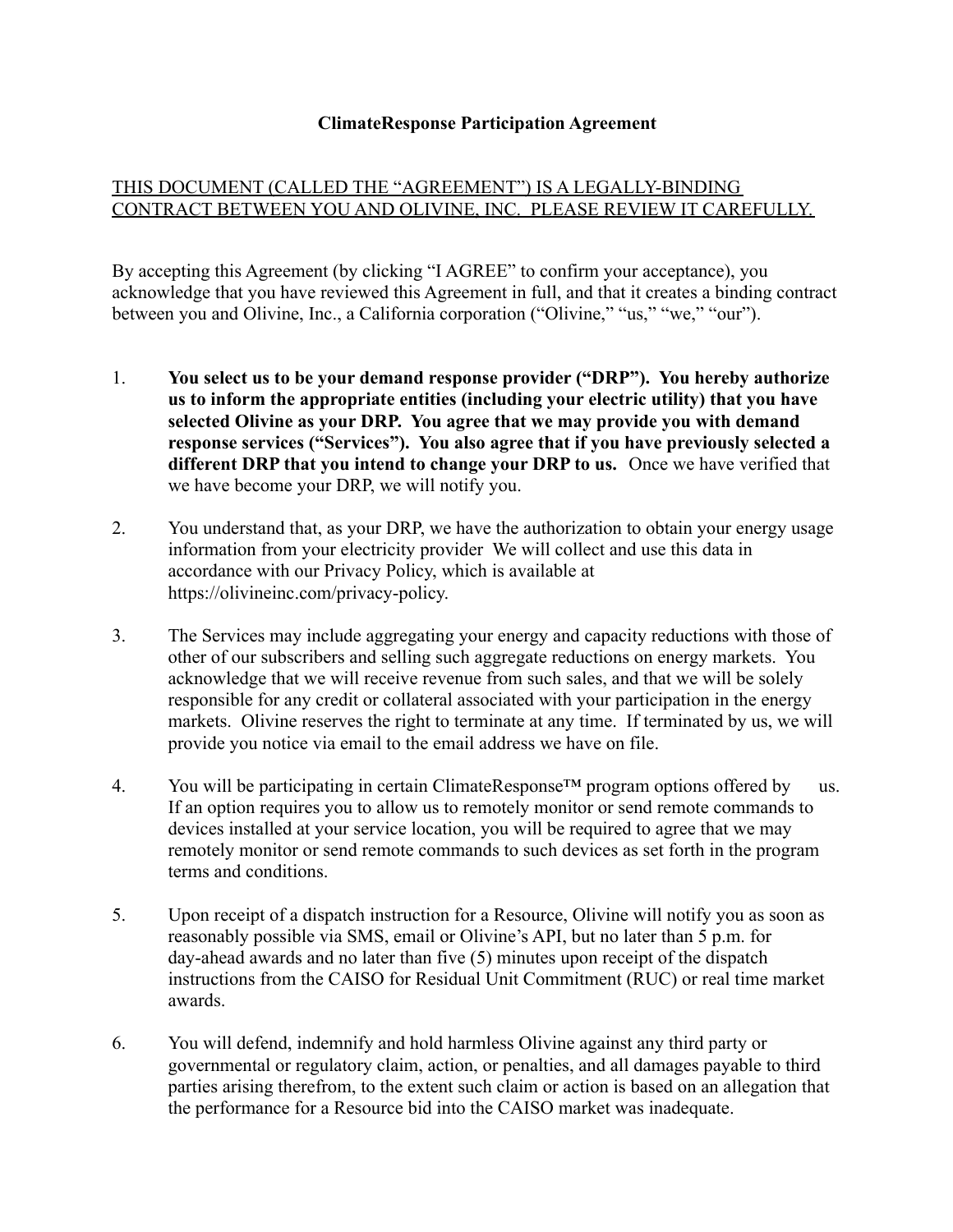## **ClimateResponse Participation Agreement**

## THIS DOCUMENT (CALLED THE "AGREEMENT") IS A LEGALLY-BINDING CONTRACT BETWEEN YOU AND OLIVINE, INC. PLEASE REVIEW IT CAREFULLY.

By accepting this Agreement (by clicking "I AGREE" to confirm your acceptance), you acknowledge that you have reviewed this Agreement in full, and that it creates a binding contract between you and Olivine, Inc., a California corporation ("Olivine," "us," "we," "our").

- 1. **You select us to be your demand response provider ("DRP"). You hereby authorize us to inform the appropriate entities (including your electric utility) that you have selected Olivine as your DRP. You agree that we may provide you with demand response services ("Services"). You also agree that if you have previously selected a different DRP that you intend to change your DRP to us.** Once we have verified that we have become your DRP, we will notify you.
- 2. You understand that, as your DRP, we have the authorization to obtain your energy usage information from your electricity provider We will collect and use this data in accordance with our Privacy Policy, which is available at https://olivineinc.com/privacy-policy.
- 3. The Services may include aggregating your energy and capacity reductions with those of other of our subscribers and selling such aggregate reductions on energy markets. You acknowledge that we will receive revenue from such sales, and that we will be solely responsible for any credit or collateral associated with your participation in the energy markets. Olivine reserves the right to terminate at any time. If terminated by us, we will provide you notice via email to the email address we have on file.
- 4. You will be participating in certain ClimateResponse™ program options offered by us. If an option requires you to allow us to remotely monitor or send remote commands to devices installed at your service location, you will be required to agree that we may remotely monitor or send remote commands to such devices as set forth in the program terms and conditions.
- 5. Upon receipt of a dispatch instruction for a Resource, Olivine will notify you as soon as reasonably possible via SMS, email or Olivine's API, but no later than 5 p.m. for day-ahead awards and no later than five (5) minutes upon receipt of the dispatch instructions from the CAISO for Residual Unit Commitment (RUC) or real time market awards.
- 6. You will defend, indemnify and hold harmless Olivine against any third party or governmental or regulatory claim, action, or penalties, and all damages payable to third parties arising therefrom, to the extent such claim or action is based on an allegation that the performance for a Resource bid into the CAISO market was inadequate.